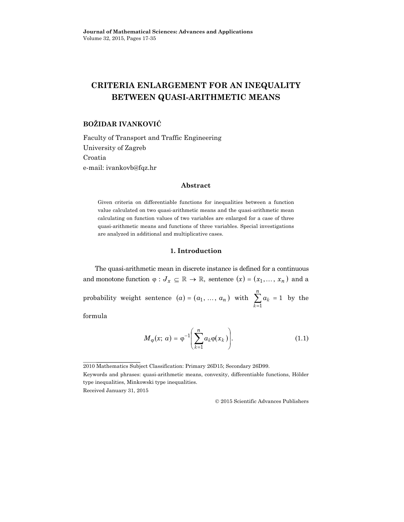# **CRITERIA ENLARGEMENT FOR AN INEQUALITY BETWEEN QUASI-ARITHMETIC MEANS**

# **BOŽIDAR IVANKOVIĆ**

Faculty of Transport and Traffic Engineering University of Zagreb Croatia e-mail: ivankovb@fqz.hr

#### **Abstract**

Given criteria on differentiable functions for inequalities between a function value calculated on two quasi-arithmetic means and the quasi-arithmetic mean calculating on function values of two variables are enlarged for a case of three quasi-arithmetic means and functions of three variables. Special investigations are analyzed in additional and multiplicative cases.

## **1. Introduction**

The quasi-arithmetic mean in discrete instance is defined for a continuous and monotone function  $\varphi: J_x \subseteq \mathbb{R} \to \mathbb{R}$ , sentence  $(x) = (x_1, \ldots, x_n)$  and a probability weight sentence  $(a) = (a_1, \ldots, a_n)$  with  $\sum a_k = 1$  $\sum_{k=1} a_k =$ *k k a n* by the

formula

$$
M_{\varphi}(x;\,a) = \varphi^{-1}\left(\sum_{k=1}^{n} a_k \varphi(x_k)\right).
$$
 (1.1)

Received January 31, 2015

2015 Scientific Advances Publishers

<sup>2010</sup> Mathematics Subject Classification: Primary 26D15; Secondary 26D99.

Keywords and phrases: quasi-arithmetic means, convexity, differentiable functions, Hölder type inequalities, Minkowski type inequalities.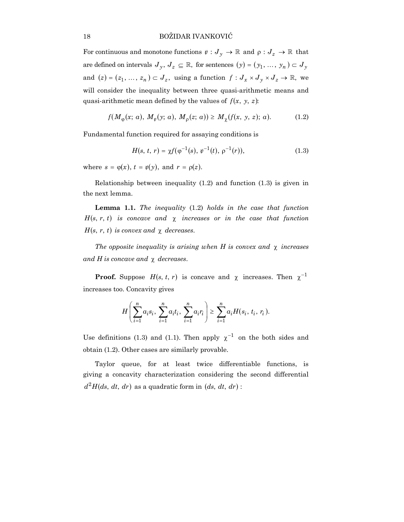For continuous and monotone functions  $\psi: J_y \to \mathbb{R}$  and  $\rho: J_z \to \mathbb{R}$  that are defined on intervals  $J_y, J_z \subseteq \mathbb{R}$ , for sentences  $(y) = (y_1, \ldots, y_n) \subset J_y$ and  $(z) = (z_1, ..., z_n) \subset J_z$ , using a function  $f: J_x \times J_y \times J_z \to \mathbb{R}$ , we will consider the inequality between three quasi-arithmetic means and quasi-arithmetic mean defined by the values of *f*(*x*, *y*, *z*):

$$
f(M_{\varphi}(x; a), M_{\psi}(y; a), M_{\rho}(z; a)) \ge M_{\chi}(f(x, y, z); a). \tag{1.2}
$$

Fundamental function required for assaying conditions is

$$
H(s, t, r) = \chi f(\varphi^{-1}(s), \varphi^{-1}(t), \varphi^{-1}(r)), \qquad (1.3)
$$

where  $s = \varphi(x)$ ,  $t = \psi(y)$ , and  $r = \rho(z)$ .

Relationship between inequality (1.2) and function (1.3) is given in the next lemma.

**Lemma 1.1.** *The inequality* (1.2) *holds in the case that function*  $H(s, r, t)$  *is concave and*  $\chi$  *increases or in the case that function*  $H(s, r, t)$  *is convex and*  $\chi$  *decreases.* 

*The opposite inequality is arising when H is convex and* χ *increases and H is concave and* χ *decreases*.

**Proof.** Suppose  $H(s, t, r)$  is concave and  $\chi$  increases. Then  $\chi^{-1}$ increases too. Concavity gives

$$
H\left(\sum_{i=1}^n a_i s_i, \sum_{i=1}^n a_i t_i, \sum_{i=1}^n a_i r_i\right) \geq \sum_{i=1}^n a_i H(s_i, t_i, r_i).
$$

Use definitions (1.3) and (1.1). Then apply  $\chi^{-1}$  on the both sides and obtain (1.2). Other cases are similarly provable.

Taylor queue, for at least twice differentiable functions, is giving a concavity characterization considering the second differential  $d^2H(ds, dt, dr)$  as a quadratic form in  $(ds, dt, dr)$ :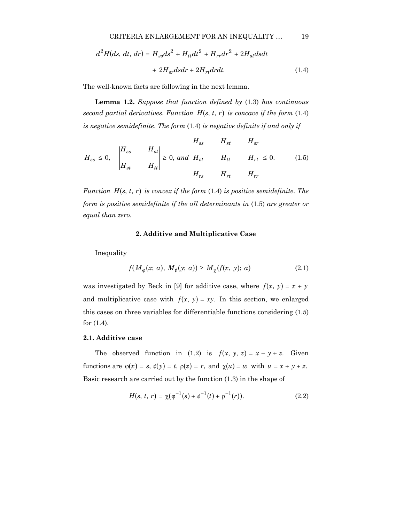$$
d2H(ds, dt, dr) = Hssds2 + Httdt2 + Hrrdr2 + 2Hstdsdt
$$

$$
+ 2Hsrdsdr + 2Hrtdrdt.
$$
(1.4)

The well-known facts are following in the next lemma.

**Lemma 1.2.** *Suppose that function defined by* (1.3) *has continuous second partial derivatives. Function*  $H(s, t, r)$  *is concave if the form* (1.4) *is negative semidefinite*. *The form* (1.4) *is negative definite if and only if*

$$
H_{ss} \leq 0,
$$
  $\begin{vmatrix} H_{ss} & H_{st} \\ H_{st} & H_{tt} \end{vmatrix} \geq 0, and$   $\begin{vmatrix} H_{ss} & H_{st} & H_{sr} \\ H_{st} & H_{tt} & H_{rt} \\ H_{rs} & H_{rt} & H_{rr} \end{vmatrix} \leq 0.$  (1.5)

*Function*  $H(s, t, r)$  *is convex if the form* (1.4) *is positive semidefinite. The form is positive semidefinite if the all determinants in* (1.5) *are greater or equal than zero*.

## **2. Additive and Multiplicative Case**

Inequality

$$
f(M_{\varphi}(x; a), M_{\psi}(y; a)) \ge M_{\chi}(f(x, y); a)
$$
 (2.1)

was investigated by Beck in [9] for additive case, where  $f(x, y) = x + y$ and multiplicative case with  $f(x, y) = xy$ . In this section, we enlarged this cases on three variables for differentiable functions considering (1.5) for (1.4).

# **2.1. Additive case**

The observed function in (1.2) is  $f(x, y, z) = x + y + z$ . Given functions are  $\varphi(x) = s$ ,  $\psi(y) = t$ ,  $\rho(z) = r$ , and  $\chi(u) = w$  with  $u = x + y + z$ . Basic research are carried out by the function (1.3) in the shape of

$$
H(s, t, r) = \chi(\varphi^{-1}(s) + \varphi^{-1}(t) + \varphi^{-1}(r)).
$$
\n(2.2)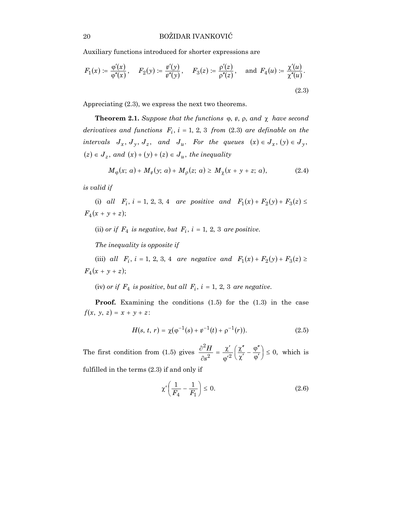Auxiliary functions introduced for shorter expressions are

$$
F_1(x) := \frac{\varphi'(x)}{\varphi''(x)}, \quad F_2(y) := \frac{\psi'(y)}{\psi''(y)}, \quad F_3(z) := \frac{\rho'(z)}{\rho''(z)}, \quad \text{and } F_4(u) := \frac{\chi'(u)}{\chi''(u)}.
$$
\n(2.3)

Appreciating (2.3), we express the next two theorems.

**Theorem 2.1.** *Suppose that the functions*  $\varphi$ ,  $\psi$ ,  $\rho$ , *and*  $\chi$  *have second derivatives and functions*  $F_i$ ,  $i = 1, 2, 3$  *from* (2.3) *are definable on the intervals*  $J_x$ ,  $J_y$ ,  $J_z$ , and  $J_u$ . For the queues  $(x) \in J_x$ ,  $(y) \in J_y$ ,  $(z) \in J_z$ , and  $(x) + (y) + (z) \in J_u$ , the inequality

$$
M_{\varphi}(x; a) + M_{\psi}(y; a) + M_{\rho}(z; a) \ge M_{\chi}(x + y + z; a),
$$
 (2.4)

*is valid if* 

(i) *all*  $F_i$ ,  $i = 1, 2, 3, 4$  *are positive and*  $F_1(x) + F_2(y) + F_3(z) \le$  $F_4(x + y + z);$ 

(ii) *or if*  $F_4$  *is negative, but*  $F_i$ ,  $i = 1, 2, 3$  *are positive.* 

*The inequality is opposite if*

(iii) *all*  $F_i$ ,  $i = 1, 2, 3, 4$  *are negative and*  $F_1(x) + F_2(y) + F_3(z) \ge$  $F_4(x + y + z);$ 

(iv) *or if*  $F_4$  *is positive, but all*  $F_i$ ,  $i = 1, 2, 3$  *are negative.* 

**Proof.** Examining the conditions (1.5) for the (1.3) in the case  $f(x, y, z) = x + y + z$ :

$$
H(s, t, r) = \chi(\varphi^{-1}(s) + \psi^{-1}(t) + \varphi^{-1}(r)).
$$
\n(2.5)

The first condition from (1.5) gives  $\frac{\partial H}{\partial r^2} = \frac{\lambda}{g'^2} \left( \frac{\lambda}{\gamma'} - \frac{\nu}{\omega'} \right) \leq 0$ , 2  $\left(\frac{\chi''}{\chi'}-\frac{\phi''}{\phi'}\right)\leq$ ſ  $\frac{\chi''}{\chi'} - \frac{\varphi''}{\varphi'}$  $rac{\partial^2 H}{\partial s^2} = \frac{\chi'}{{\varphi'}^2}$ *s*  $\frac{H}{\rho} = \frac{\chi'}{g} \left( \frac{\chi''}{l} - \frac{\phi''}{l} \right) \leq 0$ , which is

fulfilled in the terms (2.3) if and only if

$$
\chi'\left(\frac{1}{F_4} - \frac{1}{F_1}\right) \le 0. \tag{2.6}
$$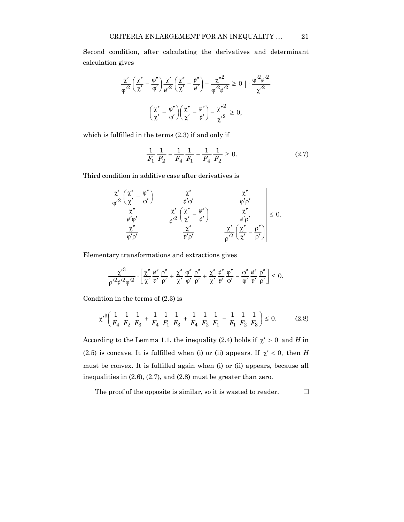Second condition, after calculating the derivatives and determinant calculation gives

$$
\frac{\chi'}{\phi'^2} \left( \frac{\chi''}{\chi'} - \frac{\phi''}{\phi'} \right) \frac{\chi'}{\psi'^2} \left( \frac{\chi''}{\chi'} - \frac{\psi''}{\psi'} \right) - \frac{\chi''^2}{\phi'^2 {\psi'}^2} \ge 0 \mid \frac{\phi'^2 {\psi'}^2}{\chi'^2}
$$

$$
\left( \frac{\chi''}{\chi'} - \frac{\phi''}{\phi'} \right) \left( \frac{\chi''}{\chi'} - \frac{\psi''}{\psi'} \right) - \frac{\chi''^2}{\chi'^2} \ge 0,
$$

which is fulfilled in the terms (2.3) if and only if

$$
\frac{1}{F_1} \frac{1}{F_2} - \frac{1}{F_4} \frac{1}{F_1} - \frac{1}{F_4} \frac{1}{F_2} \ge 0.
$$
 (2.7)

Third condition in additive case after derivatives is

$$
\begin{array}{|c|c|} \hline \chi' \\ \hline \phi'^2 \left( \frac{\chi''}{\chi'} - \frac{\phi''}{\phi'} \right) & \frac{\chi''}{\psi' \phi'} & \frac{\chi''}{\phi' \rho'} \\ \hline \frac{\chi''}{\psi' \phi'} & \frac{\chi'}{\psi'^2} \left( \frac{\chi''}{\chi'} - \frac{\psi''}{\psi'} \right) & \frac{\chi''}{\psi' \rho'} \\ \hline \frac{\chi''}{\phi' \rho'} & \frac{\chi''}{\psi' \rho'} & \frac{\chi'}{\rho'^2} \left( \frac{\chi''}{\chi'} - \frac{\rho''}{\rho'} \right) \\ \hline \end{array} \leq 0.
$$

Elementary transformations and extractions gives

$$
\frac{{\chi'}^3}{\rho'{}^2{ \psi'}^2 { \phi'}^2}\cdot\left[\frac{{\chi}''}{\chi'}\frac{\psi''}{\psi'}\frac{\rho''}{\rho'}+\frac{\chi''}{\chi'}\frac{\phi''}{\phi'}\frac{\rho''}{\rho'}+\frac{\chi''}{\chi'}\frac{\psi''}{\psi'}\frac{\phi''}{\phi'}-\frac{\phi''}{\phi'}\frac{\psi''}{\psi'}\frac{\rho''}{\rho'}\right]\leq\,0.
$$

Condition in the terms of (2.3) is

$$
\chi'^3 \left( \frac{1}{F_4} \frac{1}{F_2} \frac{1}{F_3} + \frac{1}{F_4} \frac{1}{F_1} \frac{1}{F_3} + \frac{1}{F_4} \frac{1}{F_2} \frac{1}{F_1} - \frac{1}{F_1} \frac{1}{F_2} \frac{1}{F_3} \right) \le 0. \tag{2.8}
$$

According to the Lemma 1.1, the inequality (2.4) holds if  $\chi' > 0$  and *H* in (2.5) is concave. It is fulfilled when (i) or (ii) appears. If  $\chi' < 0$ , then *H* must be convex. It is fulfilled again when (i) or (ii) appears, because all inequalities in (2.6), (2.7), and (2.8) must be greater than zero.

The proof of the opposite is similar, so it is wasted to reader.  $\Box$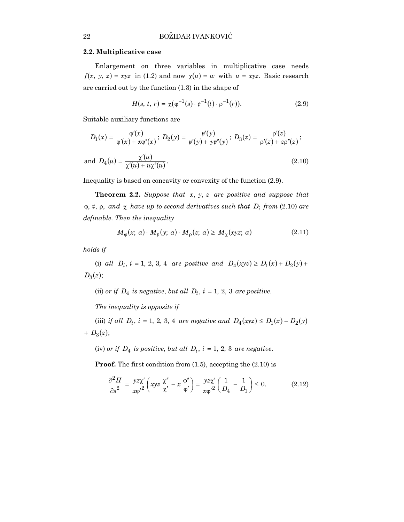#### **2.2. Multiplicative case**

Enlargement on three variables in multiplicative case needs  $f(x, y, z) = xyz$  in (1.2) and now  $\chi(u) = w$  with  $u = xyz$ . Basic research are carried out by the function (1.3) in the shape of

$$
H(s, t, r) = \chi(\varphi^{-1}(s) \cdot \varphi^{-1}(t) \cdot \varphi^{-1}(r)).
$$
\n(2.9)

Suitable auxiliary functions are

$$
D_1(x) = \frac{\varphi'(x)}{\varphi'(x) + x\varphi''(x)}; \ D_2(y) = \frac{\psi'(y)}{\psi'(y) + y\psi''(y)}; \ D_3(z) = \frac{\rho'(z)}{\rho'(z) + z\rho''(z)};
$$

and 
$$
D_4(u) = \frac{\chi'(u)}{\chi'(u) + u\chi''(u)}
$$
. (2.10)

Inequality is based on concavity or convexity of the function (2.9).

**Theorem 2.2.** *Suppose that x*, *y*, *z are positive and suppose that*  $\varphi$ ,  $\varphi$ ,  $\rho$ , *and*  $\chi$  *have up to second derivatives such that*  $D_i$  *from* (2.10) *are definable*. *Then the inequality*

$$
M_{\varphi}(x; a) \cdot M_{\psi}(y; a) \cdot M_{\rho}(z; a) \ge M_{\chi}(xyz; a)
$$
\n(2.11)

*holds if* 

(i) *all*  $D_i$ ,  $i = 1, 2, 3, 4$  *are positive and*  $D_4(xyz) \ge D_1(x) + D_2(y) + D_3(y)$  $D_3(z);$ 

(ii) *or if*  $D_4$  *is negative, but all*  $D_i$ *, i* = 1*,* 2*,* 3 *are positive.* 

*The inequality is opposite if*

(iii) *if all*  $D_i$ , *i* = 1, 2, 3, 4 *are negative and*  $D_4(xyz) \le D_1(x) + D_2(y)$  $+ D_3(z);$ 

(iv) *or if*  $D_4$  *is positive, but all*  $D_i$ ,  $i = 1, 2, 3$  *are negative.* 

**Proof.** The first condition from (1.5), accepting the (2.10) is

$$
\frac{\partial^2 H}{\partial s^2} = \frac{yz\chi'}{x\varphi'^2} \left( xyz \frac{\chi''}{\chi'} - x \frac{\varphi''}{\varphi'} \right) = \frac{yz\chi'}{x\varphi'^2} \left( \frac{1}{D_4} - \frac{1}{D_1} \right) \le 0.
$$
 (2.12)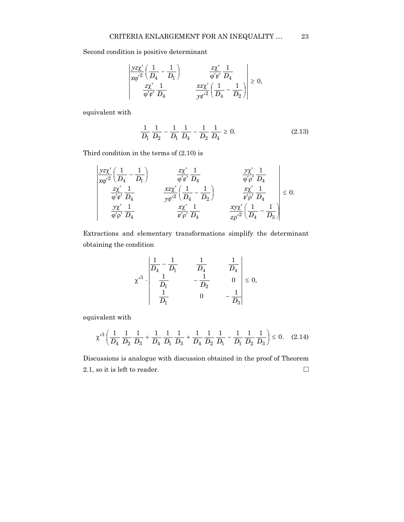Second condition is positive determinant

$$
\begin{vmatrix} \frac{yz\chi'}{x\varphi'^2} \left( \frac{1}{D_4} - \frac{1}{D_1} \right) & \frac{z\chi'}{\varphi'\varphi'} \frac{1}{D_4} \\ \frac{z\chi'}{\varphi'\varphi'} \frac{1}{D_4} & \frac{xz\chi'}{y{\varphi'}^2} \left( \frac{1}{D_4} - \frac{1}{D_2} \right) \end{vmatrix} \ge 0,
$$

equivalent with

$$
\frac{1}{D_1} \frac{1}{D_2} - \frac{1}{D_1} \frac{1}{D_4} - \frac{1}{D_2} \frac{1}{D_4} \ge 0.
$$
 (2.13)

Third condition in the terms of (2.10) is

$$
\begin{vmatrix} \frac{yz\chi'}{x\varphi'^2} \left( \frac{1}{D_4} - \frac{1}{D_1} \right) & \frac{z\chi'}{\varphi' \varphi'} \frac{1}{D_4} & \frac{y\chi'}{\varphi' \varphi'} \frac{1}{D_4} \\ \frac{z\chi'}{\varphi' \varphi'} \frac{1}{D_4} & \frac{xz\chi'}{y\varphi'^2} \left( \frac{1}{D_4} - \frac{1}{D_2} \right) & \frac{x\chi'}{\varphi' \varphi'} \frac{1}{D_4} \\ \frac{y\chi'}{\varphi' \varphi'} \frac{1}{D_4} & \frac{x\chi'}{\varphi' \varphi'} \frac{1}{D_4} & \frac{x y \chi'}{z\varphi'^2} \left( \frac{1}{D_4} - \frac{1}{D_3} \right) \end{vmatrix} \leq 0.
$$

Extractions and elementary transformations simplify the determinant obtaining the condition

$$
\chi^3 \cdot \begin{vmatrix} \frac{1}{D_4} - \frac{1}{D_1} & \frac{1}{D_4} & \frac{1}{D_4} \\ \frac{1}{D_1} & -\frac{1}{D_2} & 0 \\ \frac{1}{D_1} & 0 & -\frac{1}{D_3} \end{vmatrix} \le 0,
$$

equivalent with

$$
\chi'^3 \left( \frac{1}{D_4} \frac{1}{D_2} \frac{1}{D_3} + \frac{1}{D_4} \frac{1}{D_1} \frac{1}{D_3} + \frac{1}{D_4} \frac{1}{D_2} \frac{1}{D_1} - \frac{1}{D_1} \frac{1}{D_2} \frac{1}{D_3} \right) \le 0. \quad (2.14)
$$

Discussions is analogue with discussion obtained in the proof of Theorem 2.1, so it is left to reader.  $\Box$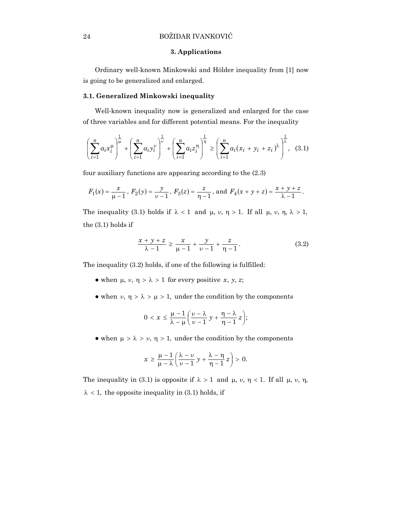# 24 BOŽIDAR IVANKOVIĆ

#### **3. Applications**

Ordinary well-known Minkowski and Hölder inequality from [1] now is going to be generalized and enlarged.

## **3.1. Generalized Minkowski inequality**

Well-known inequality now is generalized and enlarged for the case of three variables and for different potential means. For the inequality

$$
\left(\sum_{i=1}^{n} a_i x_i^{\mu}\right)^{\frac{1}{\mu}} + \left(\sum_{i=1}^{n} a_i y_i^{\nu}\right)^{\frac{1}{\nu}} + \left(\sum_{i=1}^{n} a_i z_i^{\eta}\right)^{\frac{1}{\eta}} \ge \left(\sum_{i=1}^{n} a_i (x_i + y_i + z_i)^{\lambda}\right)^{\frac{1}{\lambda}}, (3.1)
$$

four auxiliary functions are appearing according to the (2.3)

$$
F_1(x) = \frac{x}{\mu - 1}
$$
,  $F_2(y) = \frac{y}{\nu - 1}$ ,  $F_3(z) = \frac{z}{\eta - 1}$ , and  $F_4(x + y + z) = \frac{x + y + z}{\lambda - 1}$ .

The inequality (3.1) holds if  $\lambda < 1$  and  $\mu$ ,  $\nu$ ,  $\eta > 1$ . If all  $\mu$ ,  $\nu$ ,  $\eta$ ,  $\lambda > 1$ , the (3.1) holds if

$$
\frac{x+y+z}{\lambda - 1} \ge \frac{x}{\mu - 1} + \frac{y}{\nu - 1} + \frac{z}{\eta - 1}.
$$
 (3.2)

The inequality (3.2) holds, if one of the following is fulfilled:

- $\bullet$  when  $\mu$ ,  $\nu$ ,  $\eta > \lambda > 1$  for every positive *x*, *y*, *z*;
- when  $\nu$ ,  $\eta > \lambda > \mu > 1$ , under the condition by the components

$$
0 < x \leq \frac{\mu-1}{\lambda-\mu} \bigg( \frac{\nu-\lambda}{\nu-1} y + \frac{\eta-\lambda}{\eta-1} z \bigg);
$$

• when  $\mu > \lambda > \nu$ ,  $\eta > 1$ , under the condition by the components

$$
x \geq \frac{\mu-1}{\mu-\lambda} \left( \frac{\lambda-\nu}{\nu-1} y + \frac{\lambda-\eta}{\eta-1} z \right) > 0.
$$

The inequality in (3.1) is opposite if  $\lambda > 1$  and  $\mu$ ,  $\nu$ ,  $\eta < 1$ . If all  $\mu$ ,  $\nu$ ,  $\eta$ ,  $\lambda$  < 1, the opposite inequality in (3.1) holds, if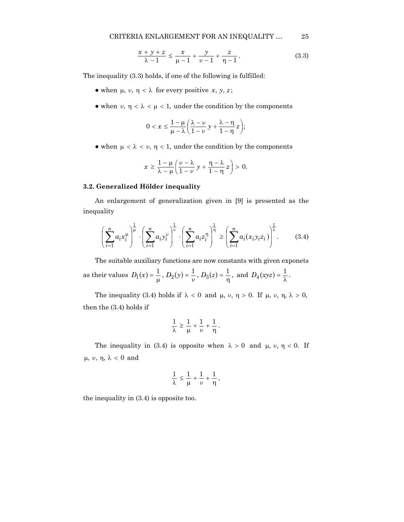$$
\frac{x+y+z}{\lambda - 1} \le \frac{x}{\mu - 1} + \frac{y}{\nu - 1} + \frac{z}{\eta - 1}.
$$
 (3.3)

The inequality (3.3) holds, if one of the following is fulfilled:

- $\bullet$  when  $\mu$ ,  $\nu$ ,  $\eta$  <  $\lambda$  for every positive *x*, *y*, *z*;
- when  $\nu$ ,  $\eta < \lambda < \mu < 1$ , under the condition by the components

$$
0 < x \leq \frac{1-\mu}{\mu-\lambda} \bigg( \frac{\lambda-\nu}{1-\nu} y + \frac{\lambda-\eta}{1-\eta} z \bigg);
$$

• when  $\mu < \lambda < \nu$ ,  $\eta < 1$ , under the condition by the components

$$
x \geq \frac{1-\mu}{\lambda-\mu} \bigg( \frac{\nu-\lambda}{1-\nu} y + \frac{\eta-\lambda}{1-\eta} z \bigg) > 0.
$$

#### **3.2. Generalized Hölder inequality**

An enlargement of generalization given in [9] is presented as the inequality

$$
\left(\sum_{i=1}^n a_i x_i^{\mu}\right)^{\frac{1}{\mu}} \cdot \left(\sum_{i=1}^n a_i y_i^{\nu}\right)^{\frac{1}{\nu}} \cdot \left(\sum_{i=1}^n a_i z_i^{\eta}\right)^{\frac{1}{\eta}} \ge \left(\sum_{i=1}^n a_i (x_i y_i z_i)\right)^{\frac{1}{\lambda}}.\tag{3.4}
$$

The suitable auxiliary functions are now constants with given exponets as their values  $D_1(x) = \frac{1}{\mu}$ ,  $D_2(y) = \frac{1}{\nu}$ ,  $D_3(z) = \frac{1}{\eta}$ , and  $D_4(xyz) = \frac{1}{\lambda}$ .

The inequality (3.4) holds if  $\lambda < 0$  and  $\mu$ ,  $\nu$ ,  $\eta > 0$ . If  $\mu$ ,  $\nu$ ,  $\eta$ ,  $\lambda > 0$ , then the (3.4) holds if

$$
\frac{1}{\lambda}\geq \frac{1}{\mu}+\frac{1}{\nu}+\frac{1}{\eta}\,.
$$

The inequality in (3.4) is opposite when  $\lambda > 0$  and  $\mu$ ,  $\nu$ ,  $\eta < 0$ . If µ, ν, η, λ < 0 and

$$
\frac{1}{\lambda}\leq \frac{1}{\mu}+\frac{1}{\nu}+\frac{1}{\eta}\,,
$$

the inequality in (3.4) is opposite too.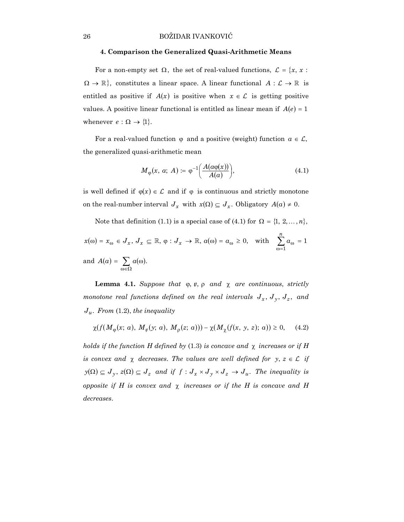#### **4. Comparison the Generalized Quasi-Arithmetic Means**

For a non-empty set  $\Omega$ , the set of real-valued functions,  $\mathcal{L} = \{x, x :$  $\Omega \to \mathbb{R}$ , constitutes a linear space. A linear functional  $A : \mathcal{L} \to \mathbb{R}$  is entitled as positive if  $A(x)$  is positive when  $x \in \mathcal{L}$  is getting positive values. A positive linear functional is entitled as linear mean if  $A(e) = 1$ whenever  $e : \Omega \to \{1\}.$ 

For a real-valued function  $\varphi$  and a positive (weight) function  $a \in \mathcal{L}$ , the generalized quasi-arithmetic mean

$$
M_{\varphi}(x, a; A) \coloneqq \varphi^{-1}\bigg(\frac{A(a\varphi(x))}{A(a)}\bigg),\tag{4.1}
$$

is well defined if  $\varphi(x) \in \mathcal{L}$  and if  $\varphi$  is continuous and strictly monotone on the real-number interval  $J_x$  with  $x(\Omega) \subseteq J_x$ . Obligatory  $A(a) \neq 0$ .

Note that definition (1.1) is a special case of (4.1) for  $\Omega = \{1, 2, ..., n\}$ ,

$$
x(\omega) = x_{\omega} \in J_x, J_x \subseteq \mathbb{R}, \varphi : J_x \to \mathbb{R}, a(\omega) = a_{\omega} \ge 0, \text{ with } \sum_{\omega=1}^n a_{\omega} = 1
$$
  
and  $A(a) = \sum_{\omega \in \Omega} a(\omega).$ 

**Lemma 4.1.** *Suppose that*  $\varphi, \psi, \rho$  *and*  $\chi$  *are continuous, strictly monotone real functions defined on the real intervals*  $J_x$ ,  $J_y$ ,  $J_z$ , and  $J_u$ . From (1.2), the inequality

$$
\chi(f(M_{\varphi}(x; a), M_{\psi}(y; a), M_{\rho}(z; a))) - \chi(M_{\chi}(f(x, y, z); a)) \ge 0, \quad (4.2)
$$

*holds if the function H defined by* (1.3) *is concave and*  $\chi$  *increases or if H is convex and*  $\chi$  *decreases. The values are well defined for*  $y, z \in \mathcal{L}$  *if*  $y(\Omega) \subseteq J_y$ ,  $z(\Omega) \subseteq J_z$  and if  $f: J_x \times J_y \times J_z \to J_u$ . The inequality is *opposite if H is convex and* χ *increases or if the H is concave and H decreases*.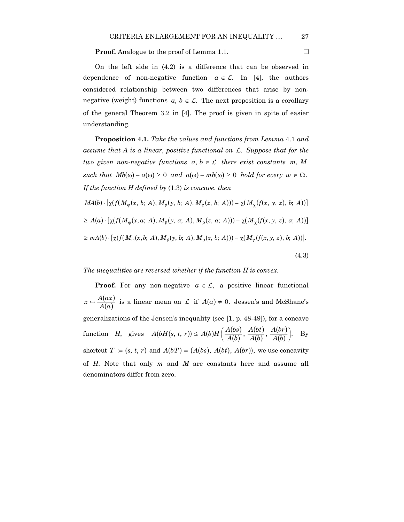**Proof.** Analogue to the proof of Lemma 1.1.

On the left side in (4.2) is a difference that can be observed in dependence of non-negative function  $a \in \mathcal{L}$ . In [4], the authors considered relationship between two differences that arise by nonnegative (weight) functions  $a, b \in \mathcal{L}$ . The next proposition is a corollary of the general Theorem 3.2 in [4]. The proof is given in spite of easier understanding.

**Proposition 4.1.** *Take the values and functions from Lemma* 4.1 *and assume that A is a linear, positive functional on* L. *Suppose that for the two given non-negative functions*  $a, b \in \mathcal{L}$  *there exist constants m, M*  $such that Mb(\omega) - a(\omega) \geq 0 \text{ and } a(\omega) - mb(\omega) \geq 0 \text{ hold for every } w \in \Omega.$ *If the function H defined by* (1.3) *is concave*, *then*

 $MA(b) \cdot [\chi(f(M_{\phi}(x, b; A), M_{\psi}(y, b; A), M_{\phi}(z, b; A))) - \chi(M_{\gamma}(f(x, y, z), b; A))]$  $\geq A(a) \cdot [\chi(f(M_{0}(x, a; A), M_{\psi}(y, a; A), M_{0}(z, a; A))) - \chi(M_{\gamma}(f(x, y, z), a; A))]$  $\geq m(A(b) \cdot [\chi(f(M_{\alpha}(x, b; A), M_{\psi}(y, b; A), M_{\alpha}(z, b; A))) - \chi(M_{\gamma}(f(x, y, z), b; A))].$ 

#### (4.3)

#### *The inequalities are reversed whether if the function H is convex*.

**Proof.** For any non-negative  $a \in \mathcal{L}$ , a positive linear functional  $(ax)$  $A(a)$  $x \mapsto \frac{A(ax)}{A(x)}$  is a linear mean on L if  $A(a) \neq 0$ . Jessen's and McShane's generalizations of the Jensen's inequality (see [1, p. 48-49]), for a concave function *H*, gives  $A(bH(s, t, r)) \le A(b)H\left(\frac{A(bs)}{A(b)}\right)$  $(bt)$  $(b)$  $(x, t, r) \leq A(b)H\left(\frac{A(bs)}{A(b)}, \frac{A(bt)}{A(b)}, \frac{A(br)}{A(b)}\right).$ *A b A bt*  $A(bH(s, t, r)) \leq A(b)H\left(\frac{A(bs)}{A(b)}, \frac{A(bt)}{A(b)}, \frac{A(br)}{A(b)}\right).$  By shortcut  $T = (s, t, r)$  and  $A(bT) = (A(bs), A(bt), A(br)$ , we use concavity of *H*. Note that only *m* and *M* are constants here and assume all denominators differ from zero.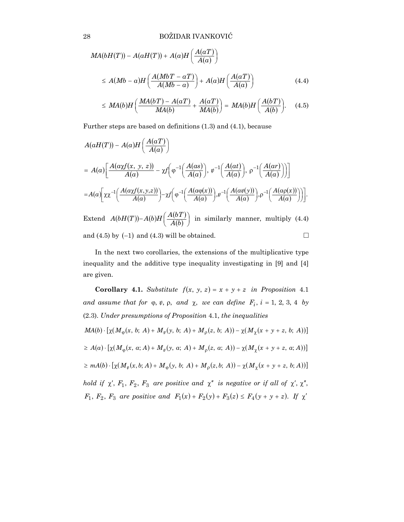28 BOŽIDAR IVANKOVIĆ

$$
MA(bH(T)) - A(aH(T)) + A(a)H\left(\frac{A(aT)}{A(a)}\right)
$$
  
\n
$$
\leq A(Mb - a)H\left(\frac{A(MbT - aT)}{A(Mb - a)}\right) + A(a)H\left(\frac{A(aT)}{A(a)}\right)
$$
(4.4)  
\n
$$
\leq MA(b)H\left(\frac{MA(bT) - A(aT)}{MA(b)} + \frac{A(aT)}{MA(b)}\right) = MA(b)H\left(\frac{A(bT)}{A(b)}\right).
$$
(4.5)

Further steps are based on definitions (1.3) and (4.1), because

$$
A(aH(T)) - A(a)H\left(\frac{A(aT)}{A(a)}\right)
$$
  
=  $A(a)\left[\frac{A(\alpha x f(x, y, z))}{A(a)} - x f\left(\varphi^{-1}\left(\frac{A(as)}{A(a)}\right), \varphi^{-1}\left(\frac{A(at)}{A(a)}\right), \varphi^{-1}\left(\frac{A(ar)}{A(a)}\right)\right]\right]$   
=  $A(a)\left[\chi\chi^{-1}\left(\frac{A(\alpha x f(x, y, z))}{A(a)}\right) - \chi\left(\varphi^{-1}\left(\frac{A(\alpha \varphi(x))}{A(a)}\right), \varphi^{-1}\left(\frac{A(\alpha \psi(y))}{A(a)}\right), \varphi^{-1}\left(\frac{A(\alpha \varphi(x))}{A(a)}\right)\right)\right].$   
Extend  $A(bH(T)) - A(b)H\left(\frac{A(bT)}{A(b)}\right)$  in similarly manner, multiply (4.4)

and (4.5) by  $(-1)$  and (4.3) will be obtained.

In the next two corollaries, the extensions of the multiplicative type inequality and the additive type inequality investigating in [9] and [4] are given.

**Corollary 4.1.** *Substitute*  $f(x, y, z) = x + y + z$  *in Proposition* 4.1 *and assume that for*  $\varphi$ ,  $\psi$ ,  $\varphi$ , *and*  $\chi$ , *we can define*  $F_i$ ,  $i = 1, 2, 3, 4$  *by* (2.3). *Under presumptions of Proposition* 4.1, *the inequalities*  $MA(b) \cdot [\chi(M_{0}(x, b; A) + M_{\psi}(y, b; A) + M_{0}(z, b; A)) - \chi(M_{\gamma}(x + y + z, b; A))]$  $\geq A(a) \cdot [\chi(M_{\phi}(x, a; A) + M_{\psi}(y, a; A) + M_{\phi}(z, a; A)) - \chi(M_{\gamma}(x + y + z, a; A))]$  $\geq mA(b) \cdot [\chi(M_{\psi}(x, b; A) + M_{\varphi}(y, b; A) + M_{\varphi}(z, b; A)) - \chi(M_{\gamma}(x + y + z, b; A))]$ *hold if*  $\chi'$ ,  $F_1$ ,  $F_2$ ,  $F_3$  are positive and  $\chi''$  is negative or if all of  $\chi'$ ,  $\chi''$ ,

 $F_1, F_2, F_3$  are positive and  $F_1(x) + F_2(y) + F_3(z) \le F_4(y + y + z)$ . If  $\chi'$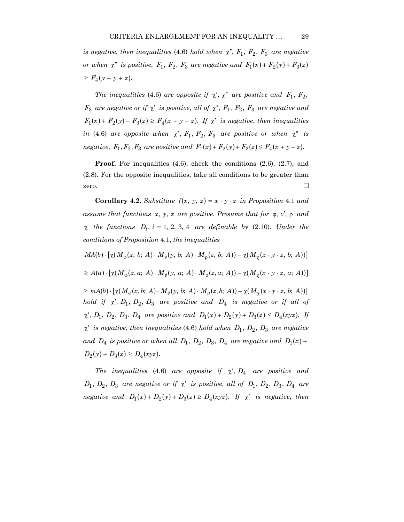*is negative, then inequalities* (4.6) *hold when*  $\chi''$ ,  $F_1$ ,  $F_2$ ,  $F_3$  are negative *or when*  $\chi''$  *is positive,*  $F_1$ ,  $F_2$ ,  $F_3$  *are negative and*  $F_1(x) + F_2(y) + F_3(z)$  $\geq F_4(y + y + z).$ 

*The inequalities* (4.6) *are opposite if*  $\chi'$ ,  $\chi''$  *are positive and*  $F_1$ ,  $F_2$ , *F*<sub>3</sub> *are negative or if*  $\chi'$  *is positive, all of*  $\chi''$ , *F*<sub>1</sub>, *F*<sub>2</sub>, *F*<sub>3</sub> *are negative and*  $F_1(x) + F_2(y) + F_3(z) \geq F_4(x + y + z)$ . If  $\chi'$  is negative, then inequalities *in* (4.6) *are opposite when*  $\chi''$ ,  $F_1$ ,  $F_2$ ,  $F_3$  *are positive or when*  $\chi''$  *is negative*,  $F_1, F_2, F_3$  *are positive and*  $F_1(x) + F_2(y) + F_3(z) \le F_4(x + y + z)$ .

**Proof.** For inequalities (4.6), check the conditions (2.6), (2.7), and (2.8). For the opposite inequalities, take all conditions to be greater than zero.  $\Box$ 

**Corollary 4.2.** *Substitute*  $f(x, y, z) = x \cdot y \cdot z$  *in Proposition* 4.1 *and assume that functions x*, *y*, *z are positive*. *Presume that for* ϕ, *v*′, ρ *and*  $\chi$  *the functions*  $D_i$ ,  $i = 1, 2, 3, 4$  *are definable by* (2.10). *Under the conditions of Proposition* 4.1, *the inequalities*

 $MA(b) \cdot [\chi(M_{0}(x, b; A) \cdot M_{v}(y, b; A) \cdot M_{0}(z, b; A)) - \chi(M_{v}(x \cdot y \cdot z, b; A))]$ 

 $\geq A(a) \cdot \left[ \chi(M_{\mathfrak{g}}(x, a; A) \cdot M_{\mathfrak{g}}(y, a; A) \cdot M_{\mathfrak{g}}(z, a; A)) - \chi(M_{\gamma}(x \cdot y \cdot z, a; A)) \right]$ 

 $\geq mA(b) \cdot \left[ \chi(M_{\phi}(x, b; A) \cdot M_{\psi}(y, b; A) \cdot M_{\phi}(z, b; A)) - \chi(M_{\gamma}(x \cdot y \cdot z, b; A)) \right]$ *hold if*  $\chi'$ ,  $D_1$ ,  $D_2$ ,  $D_3$  are positive and  $D_4$  *is negative or if all of*  $\chi'$ ,  $D_1$ ,  $D_2$ ,  $D_3$ ,  $D_4$  are positive and  $D_1(x) + D_2(y) + D_3(z) \le D_4(xyz)$ . If  $\chi'$  *is negative, then inequalities* (4.6) *hold when*  $D_1$ ,  $D_2$ ,  $D_3$  *are negative and*  $D_4$  *is positive or when all*  $D_1$ ,  $D_2$ ,  $D_3$ ,  $D_4$  *are negative and*  $D_1(x)$  +  $D_2(y) + D_3(z) \ge D_4(xyz)$ .

*The inequalities* (4.6) *are opposite if*  $\chi'$ ,  $D_4$  *are positive and*  $D_1$ ,  $D_2$ ,  $D_3$  are negative or if  $\chi'$  is positive, all of  $D_1$ ,  $D_2$ ,  $D_3$ ,  $D_4$  are *negative and*  $D_1(x) + D_2(y) + D_3(z) \ge D_4(xyz)$ . If  $\chi'$  is negative, then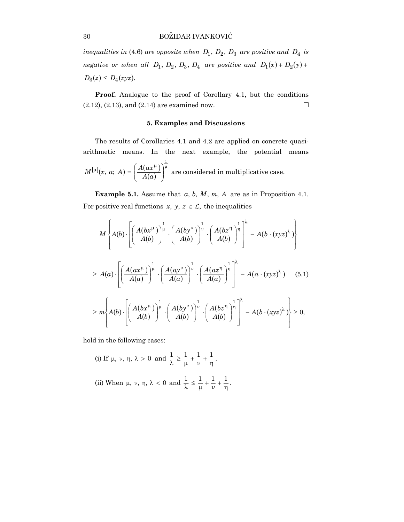*inequalities in* (4.6) *are opposite when*  $D_1$ ,  $D_2$ ,  $D_3$  *are positive and*  $D_4$  *is negative or when all*  $D_1$ ,  $D_2$ ,  $D_3$ ,  $D_4$  *are positive and*  $D_1(x) + D_2(y) + D_3(y)$  $D_3(z) \le D_4(xyz)$ .

Proof. Analogue to the proof of Corollary 4.1, but the conditions  $(2.12), (2.13),$  and  $(2.14)$  are examined now.

## **5. Examples and Discussions**

The results of Corollaries 4.1 and 4.2 are applied on concrete quasiarithmetic means. In the next example, the potential means  $[\mu] (x, a; A) = \left( \frac{A(ax^{\mu})}{A(a)} \right)$ µ  $\overline{\phantom{a}}$ J  $\backslash$  $\overline{\phantom{a}}$ ∖  $[\mu]$  $(x, a; A) = \left( \frac{A(ax^{\mu})}{A(x)} \right)$ 1  $M^{[\mu]}(x, a; A) = \left(\frac{A(ax^{\mu})}{A(a)}\right)^{\mu}$  are considered in multiplicative case.

**Example 5.1.** Assume that  $a, b, M, m, A$  are as in Proposition 4.1. For positive real functions  $x, y, z \in \mathcal{L}$ , the inequalities

$$
M\left\{ A(b) \cdot \left[ \left( \frac{A(bx^{\mu})}{A(b)} \right)^{\frac{1}{\mu}} \cdot \left( \frac{A(by^{\nu})}{A(b)} \right)^{\frac{1}{\nu}} \cdot \left( \frac{A(bz^{\eta})}{A(b)} \right)^{\frac{1}{\eta}} \right] - A(b \cdot (xyz)^{\lambda}) \right\}
$$
  
\n
$$
\geq A(a) \cdot \left[ \left( \frac{A(ax^{\mu})}{A(a)} \right)^{\frac{1}{\mu}} \cdot \left( \frac{A(ay^{\nu})}{A(a)} \right)^{\frac{1}{\nu}} \cdot \left( \frac{A(az^{\eta})}{A(a)} \right)^{\frac{1}{\eta}} \right] - A(a \cdot (xyz)^{\lambda}) \quad (5.1)
$$
  
\n
$$
\geq m \left\{ A(b) \cdot \left[ \left( \frac{A(bx^{\mu})}{A(b)} \right)^{\frac{1}{\mu}} \cdot \left( \frac{A(by^{\nu})}{A(b)} \right)^{\frac{1}{\nu}} \cdot \left( \frac{A(bz^{\eta})}{A(b)} \right)^{\frac{1}{\eta}} \right] - A(b \cdot (xyz)^{\lambda}) \right\} \geq 0,
$$

hold in the following cases:

(i) If 
$$
\mu
$$
,  $\nu$ ,  $\eta$ ,  $\lambda > 0$  and  $\frac{1}{\lambda} \ge \frac{1}{\mu} + \frac{1}{\nu} + \frac{1}{\eta}$ .  
\n(ii) When  $\mu$ ,  $\nu$ ,  $\eta$ ,  $\lambda < 0$  and  $\frac{1}{\lambda} \le \frac{1}{\mu} + \frac{1}{\nu} + \frac{1}{\eta}$ .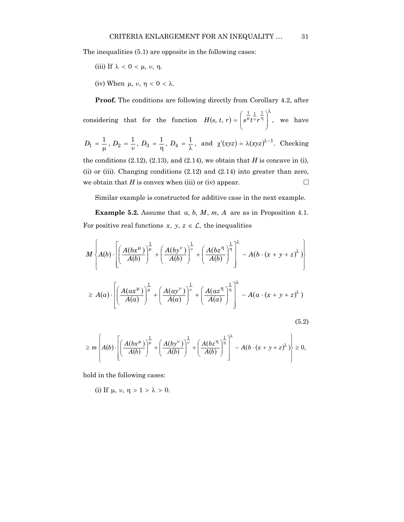The inequalities (5.1) are opposite in the following cases:

(iii) If 
$$
\lambda < 0 < \mu, \nu, \eta
$$
.

(iv) When  $\mu$ ,  $\nu$ ,  $\eta$  < 0 <  $\lambda$ .

**Proof.** The conditions are following directly from Corollary 4.2, after

considering that for the function  $H(s, t, r) = | s^{\mu} t^{\nu} r^{\eta} |$ ,  $1 \perp \sqrt{2}$  $\overline{\phantom{a}}$ J  $\lambda$  $\overline{\phantom{a}}$  $\overline{\mathcal{L}}$  $H(s, t, r) = \left(s^{\frac{1}{\mu}} t^{\frac{1}{\nu}} r^{\frac{1}{\eta}}\right)^{r}$ , we have

$$
D_1 = \frac{1}{\mu}, D_2 = \frac{1}{\nu}, D_3 = \frac{1}{\eta}, D_4 = \frac{1}{\lambda}, \text{ and } \chi'(xyz) = \lambda(xyz)^{\lambda - 1}. \text{ Checking the conditions (2.12), (2.13), and (2.14), we obtain that H is concave in (i), (ii) or (iii). Changing conditions (2.12) and (2.14) into greater than zero,
$$

we obtain that *H* is convex when (iii) or (iv) appear.  $\Box$ 

Similar example is constructed for additive case in the next example.

**Example 5.2.** Assume that *a*, *b*, *M*, *m*, *A* are as in Proposition 4.1. For positive real functions  $x, y, z \in \mathcal{L}$ , the inequalities

$$
M\left\{A(b)\cdot\left[\left(\frac{A(bx^{\mu})}{A(b)}\right)^{\frac{1}{\mu}}+\left(\frac{A(by^{\nu})}{A(b)}\right)^{\frac{1}{\nu}}+\left(\frac{A(bz^{\eta})}{A(b)}\right)^{\frac{1}{\eta}}\right]^{2}-A(b\cdot(x+y+z)^{\lambda})\right\}
$$
  

$$
\geq A(a)\cdot\left[\left(\frac{A(ax^{\mu})}{A(a)}\right)^{\frac{1}{\mu}}+\left(\frac{A(ay^{\nu})}{A(a)}\right)^{\frac{1}{\nu}}+\left(\frac{A(az^{\eta})}{A(a)}\right)^{\frac{1}{\eta}}\right]^{2}-A(a\cdot(x+y+z)^{\lambda})
$$
(5.2)

$$
\geq m \left\{ A(b) \cdot \left[ \left( \frac{A(bx^{\mu})}{A(b)} \right)^{\frac{1}{\mu}} + \left( \frac{A(by^{\nu})}{A(b)} \right)^{\frac{1}{\nu}} + \left( \frac{A(bz^{\eta})}{A(b)} \right)^{\frac{1}{\eta}} \right]^{\lambda} - A(b \cdot (x + y + z)^{\lambda}) \right\} \geq 0,
$$

hold in the following cases:

(i) If 
$$
\mu
$$
,  $\nu$ ,  $\eta > 1 > \lambda > 0$ .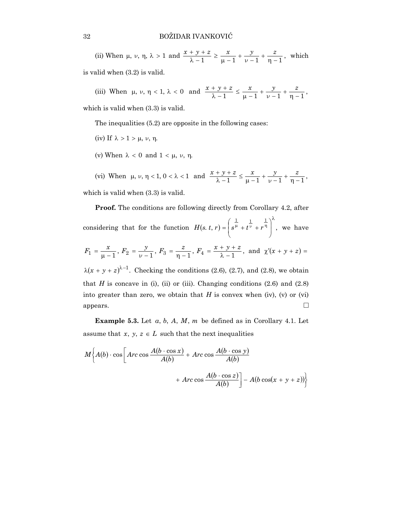(ii) When  $\mu$ ,  $\nu$ ,  $\eta$ ,  $\lambda > 1$  and  $\frac{x + y + z}{\lambda - 1} \ge \frac{x}{\mu - 1} + \frac{y}{\nu - 1} + \frac{z}{\eta - 1}$ , which

is valid when (3.2) is valid.

(iii) When  $\mu$ ,  $\nu$ ,  $\eta$  < 1,  $\lambda$  < 0 and  $\frac{x + y + z}{\lambda - 1} \le \frac{x}{\mu - 1} + \frac{y}{\nu - 1} + \frac{z}{\eta - 1}$ , ν

which is valid when (3.3) is valid.

The inequalities (5.2) are opposite in the following cases:

- (iv) If  $\lambda > 1 > \mu$ ,  $\nu$ ,  $\eta$ .
- (v) When  $\lambda$  < 0 and  $1$  < μ, ν, η.

(vi) When  $\mu$ ,  $\nu$ ,  $\eta$  < 1,  $0 < \lambda < 1$  and  $\frac{x + y + z}{\lambda - 1} \le \frac{x}{\mu - 1} + \frac{y}{\nu - 1} + \frac{z}{\eta - 1}$ , ν

which is valid when (3.3) is valid.

**Proof.** The conditions are following directly from Corollary 4.2, after

considering that for the function  $H(s, t, r) = |s^{\mu} + t^{\nu} + r^{\eta}|$ ,  $\frac{1}{1}$   $\frac{1}{\lambda}$  $\overline{\phantom{a}}$ J Ì  $\overline{\phantom{a}}$  $\overline{\mathcal{L}}$  $H(s, t, r) = \left(s^{\frac{1}{\mu}} + t^{\frac{1}{\nu}} + r^{\frac{1}{\eta}}\right)^{\kappa}$ , we have  $F_1 = \frac{x}{\mu - 1}, F_2 = \frac{y}{\nu - 1}, F_3 = \frac{z}{\eta - 1}, F_4 = \frac{x + y + z}{\lambda - 1}, \text{ and } \chi'(x + y + z) =$  $\lambda(x + y + z)^{\lambda - 1}$ . Checking the conditions (2.6), (2.7), and (2.8), we obtain

that  $H$  is concave in (i), (ii) or (iii). Changing conditions  $(2.6)$  and  $(2.8)$ into greater than zero, we obtain that  $H$  is convex when (iv), (v) or (vi) appears.  $\Box$ 

**Example 5.3.** Let *a*, *b*, *A*, *M*, *m* be defined as in Corollary 4.1. Let assume that *x*, *y*,  $z \in L$  such that the next inequalities

$$
M\left\{A(b)\cdot\cos\left[Arc\cos\frac{A(b\cdot\cos x)}{A(b)}+Arc\cos\frac{A(b\cdot\cos y)}{A(b)}\right.\right.\\
\left. + Arc\cos\frac{A(b\cdot\cos z)}{A(b)}\right]-A(b\cos(x+y+z))\right\}
$$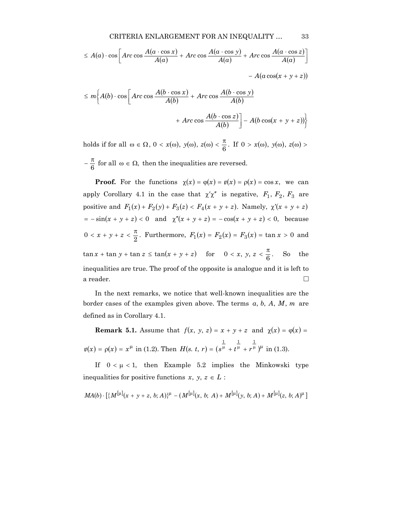$$
\leq A(a) \cdot \cos \left[ Arc \cos \frac{A(a \cdot \cos x)}{A(a)} + Arc \cos \frac{A(a \cdot \cos y)}{A(a)} + Arc \cos \frac{A(a \cdot \cos z)}{A(a)} \right]
$$

 $-A(a\cos(x+y+z))$ 

$$
\leq m \bigg\{ A(b) \cdot \cos \bigg[ Arc \cos \frac{A(b \cdot \cos x)}{A(b)} + Arc \cos \frac{A(b \cdot \cos y)}{A(b)} + Arc \cos \frac{A(b \cdot \cos z)}{A(b)} \bigg] - A(b \cos(x + y + z)) \bigg\}
$$

holds if for all  $\omega \in \Omega$ ,  $0 < x(\omega)$ ,  $y(\omega)$ ,  $z(\omega) < \frac{\pi}{6}$ . If  $0 > x(\omega)$ ,  $y(\omega)$ ,  $z(\omega) >$ 

 $-\frac{\pi}{6}$  for all  $\omega \in \Omega$ , then the inequalities are reversed.

**Proof.** For the functions  $\chi(x) = \varphi(x) = \psi(x) = \rho(x) = \cos x$ , we can apply Corollary 4.1 in the case that  $\chi' \chi''$  is negative,  $F_1$ ,  $F_2$ ,  $F_3$  are positive and  $F_1(x) + F_2(y) + F_3(z) < F_4(x + y + z)$ . Namely,  $\chi'(x + y + z)$  $x = -\sin(x + y + z) < 0$  and  $\chi''(x + y + z) = -\cos(x + y + z) < 0$ , because 0 < *x* + *y* + *z* <  $\frac{\pi}{2}$ . Furthermore,  $F_1(x) = F_2(x) = F_3(x) = \tan x > 0$  and  $\tan x + \tan y + \tan z \le \tan(x + y + z)$  for  $0 < x, y, z < \frac{\pi}{6}$ . So the inequalities are true. The proof of the opposite is analogue and it is left to a reader.  $\Box$ 

In the next remarks, we notice that well-known inequalities are the border cases of the examples given above. The terms *a*, *b*, *A*, *M*, *m* are defined as in Corollary 4.1.

**Remark 5.1.** Assume that  $f(x, y, z) = x + y + z$  and  $\chi(x) = \varphi(x) = x + y + z$  $\psi(x) = \rho(x) = x^{\mu}$  in (1.2). Then  $H(s, t, r) = (s^{\mu} + t^{\mu} + r^{\mu})^{\mu}$ *H*(*s*. *t*, *r*) =  $(s^{\mu} + t^{\mu} + r^{\mu})^{\mu}$  in (1.3).

If  $0 < \mu < 1$ , then Example 5.2 implies the Minkowski type inequalities for positive functions  $x, y, z \in L$ :

$$
MA(b) \cdot \left[ \{ M^{[\mu]}(x+y+z, b; A) \}^{\mu} - (M^{[\mu]}(x, b; A) + M^{[\mu]}(y, b; A) + M^{[\mu]}(z, b; A)^{\mu} \right]
$$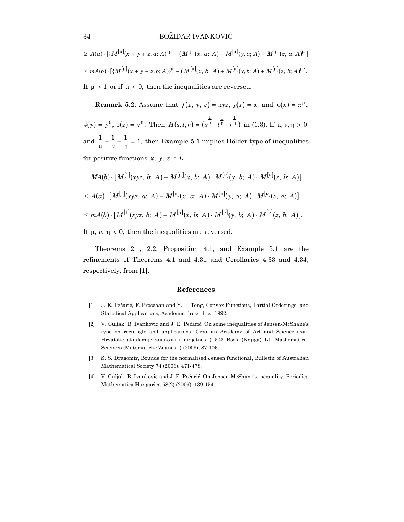$\geq A(a) \cdot \left[ \{ M^{[\mu]}(x+y+z,a;A) \}^{\mu} - (M^{[\mu]}(x,a;A) + M^{[\mu]}(y,a;A) + M^{[\mu]}(z,a;A)^{\mu} \right]$  $\geq mA(b) \cdot [\{M^{[\mu]}(x+y+z,b;A)\}^{\mu} - (M^{[\mu]}(x, b; A) + M^{[\mu]}(y, b; A) + M^{[\mu]}(z, b; A)^{\mu}].$ If  $\mu > 1$  or if  $\mu < 0$ , then the inequalities are reversed.

**Remark 5.2.** Assume that  $f(x, y, z) = xyz$ ,  $\chi(x) = x$  and  $\varphi(x) = x^{\mu}$ ,  $\psi(y) = y^{\nu}, \rho(z) = z^{\eta}.$  Then  $H(s, t, r) = (s^{\frac{1}{\mu}} \cdot t^{\frac{1}{\nu}} \cdot r^{\frac{1}{\eta}})$  $H(s,t,r) = (s^{\mu} \cdot t^{\nu} \cdot r^{\eta})$  in (1.3). If  $\mu, \nu, \eta > 0$ and  $\frac{1}{\mu} + \frac{1}{\nu} + \frac{1}{\eta} = 1$ , then Example 5.1 implies Hölder type of inequalities for positive functions  $x, y, z \in L$ :

$$
MA(b) \cdot [M^{[1]}(xyz, b; A) - M^{[\mu]}(x, b; A) \cdot M^{[\nu]}(y, b; A) \cdot M^{[\nu]}(z, b; A)]
$$
  
\n
$$
\leq A(a) \cdot [M^{[1]}(xyz, a; A) - M^{[\mu]}(x, a; A) \cdot M^{[\nu]}(y, a; A) \cdot M^{[\nu]}(z, a; A)]
$$
  
\n
$$
\leq mA(b) \cdot [M^{[1]}(xyz, b; A) - M^{[\mu]}(x, b; A) \cdot M^{[\nu]}(y, b; A) \cdot M^{[\nu]}(z, b; A)].
$$

If  $\mu$ ,  $\nu$ ,  $\eta$  < 0, then the inequalities are reversed.

Theorems 2.1, 2.2, Proposition 4.1, and Example 5.1 are the refinements of Theorems 4.1 and 4.31 and Corollaries 4.33 and 4.34, respectively, from [1].

#### **References**

- [1] J. E. Pečarić, F. Proschan and Y. L. Tong, Convex Functions, Partial Orderings, and Statistical Applications, Academic Press, Inc., 1992.
- [2] V. Culjak, B. Ivankovic and J. E. Pečarić, On some inequalities of Jensen-McShane's type on rectangle and applications, Croatian Academy of Art and Science (Rad Hrvatske akademije znanosti i umjetnosti) 503 Book (Knjiga) LI. Mathematical Sciences (Matematicke Znanosti) (2009), 87-106.
- [3] S. S. Dragomir, Bounds for the normalised Jensen functional, Bulletin of Australian Mathematical Society 74 (2006), 471-478.
- [4] V. Culjak, B. Ivankovic and J. E. Pečarić, On Jensen-McShane's inequality, Periodica Mathematica Hungarica 58(2) (2009), 139-154.